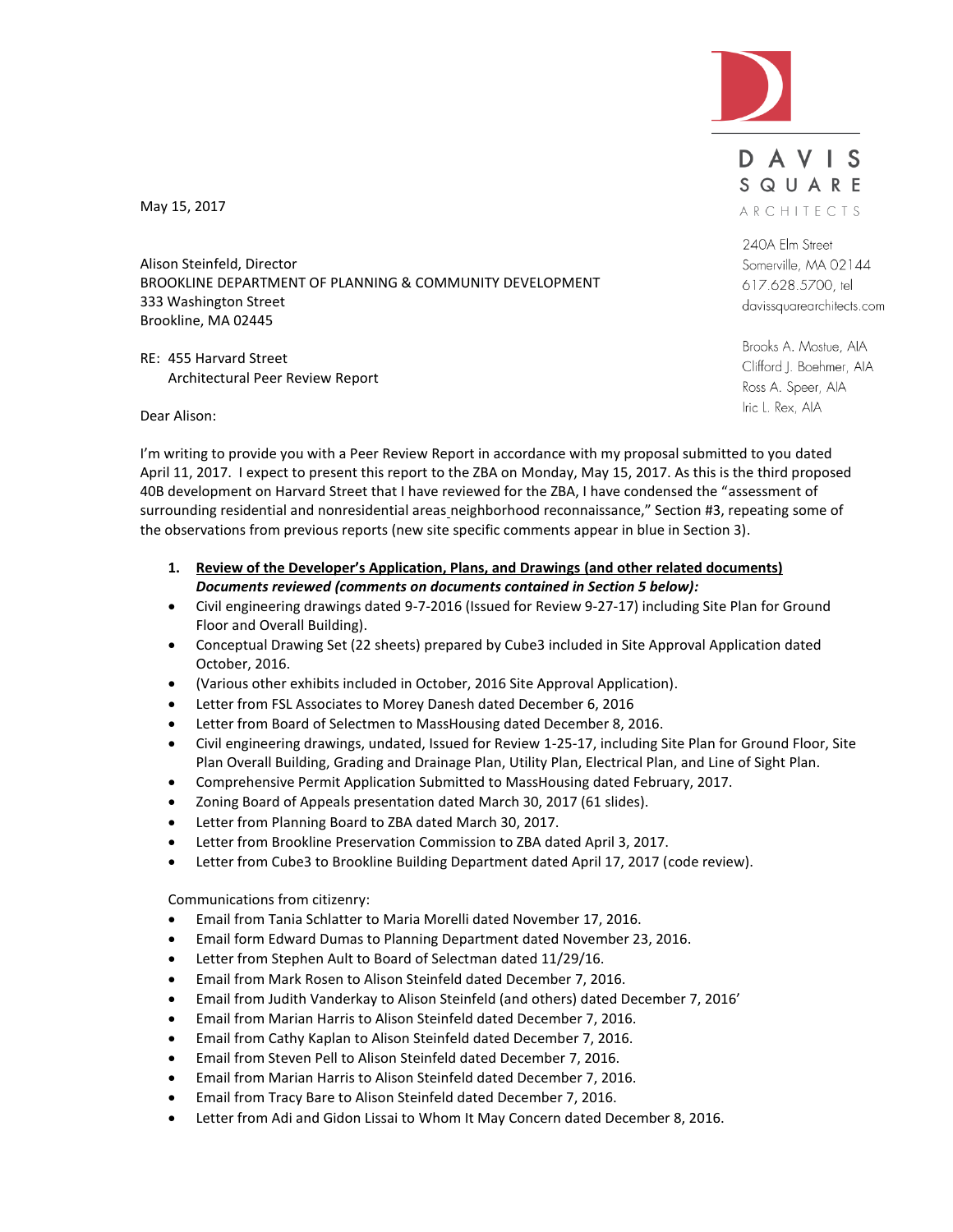

DAVIS SQUARE ARCHITECTS

240A Elm Street Somerville, MA 02144 617.628.5700, tel davissquarearchitects.com

Brooks A. Mostue, AIA Clifford J. Boehmer, AIA Ross A. Speer, AIA Iric L. Rex, AIA

May 15, 2017

Alison Steinfeld, Director BROOKLINE DEPARTMENT OF PLANNING & COMMUNITY DEVELOPMENT 333 Washington Street Brookline, MA 02445

RE: 455 Harvard Street Architectural Peer Review Report

Dear Alison:

I'm writing to provide you with a Peer Review Report in accordance with my proposal submitted to you dated April 11, 2017. I expect to present this report to the ZBA on Monday, May 15, 2017. As this is the third proposed 40B development on Harvard Street that I have reviewed for the ZBA, I have condensed the "assessment of surrounding residential and nonresidential areas neighborhood reconnaissance," Section #3, repeating some of the observations from previous reports (new site specific comments appear in blue in Section 3).

- **1. Review of the Developer's Application, Plans, and Drawings (and other related documents)** *Documents reviewed (comments on documents contained in Section 5 below):*
- Civil engineering drawings dated 9-7-2016 (Issued for Review 9-27-17) including Site Plan for Ground Floor and Overall Building).
- Conceptual Drawing Set (22 sheets) prepared by Cube3 included in Site Approval Application dated October, 2016.
- (Various other exhibits included in October, 2016 Site Approval Application).
- Letter from FSL Associates to Morey Danesh dated December 6, 2016
- Letter from Board of Selectmen to MassHousing dated December 8, 2016.
- Civil engineering drawings, undated, Issued for Review 1-25-17, including Site Plan for Ground Floor, Site Plan Overall Building, Grading and Drainage Plan, Utility Plan, Electrical Plan, and Line of Sight Plan.
- Comprehensive Permit Application Submitted to MassHousing dated February, 2017.
- Zoning Board of Appeals presentation dated March 30, 2017 (61 slides).
- Letter from Planning Board to ZBA dated March 30, 2017.
- Letter from Brookline Preservation Commission to ZBA dated April 3, 2017.
- Letter from Cube3 to Brookline Building Department dated April 17, 2017 (code review).

Communications from citizenry:

- Email from Tania Schlatter to Maria Morelli dated November 17, 2016.
- Email form Edward Dumas to Planning Department dated November 23, 2016.
- Letter from Stephen Ault to Board of Selectman dated 11/29/16.
- Email from Mark Rosen to Alison Steinfeld dated December 7, 2016.
- Email from Judith Vanderkay to Alison Steinfeld (and others) dated December 7, 2016'
- Email from Marian Harris to Alison Steinfeld dated December 7, 2016.
- Email from Cathy Kaplan to Alison Steinfeld dated December 7, 2016.
- Email from Steven Pell to Alison Steinfeld dated December 7, 2016.
- Email from Marian Harris to Alison Steinfeld dated December 7, 2016.
- Email from Tracy Bare to Alison Steinfeld dated December 7, 2016.
- Letter from Adi and Gidon Lissai to Whom It May Concern dated December 8, 2016.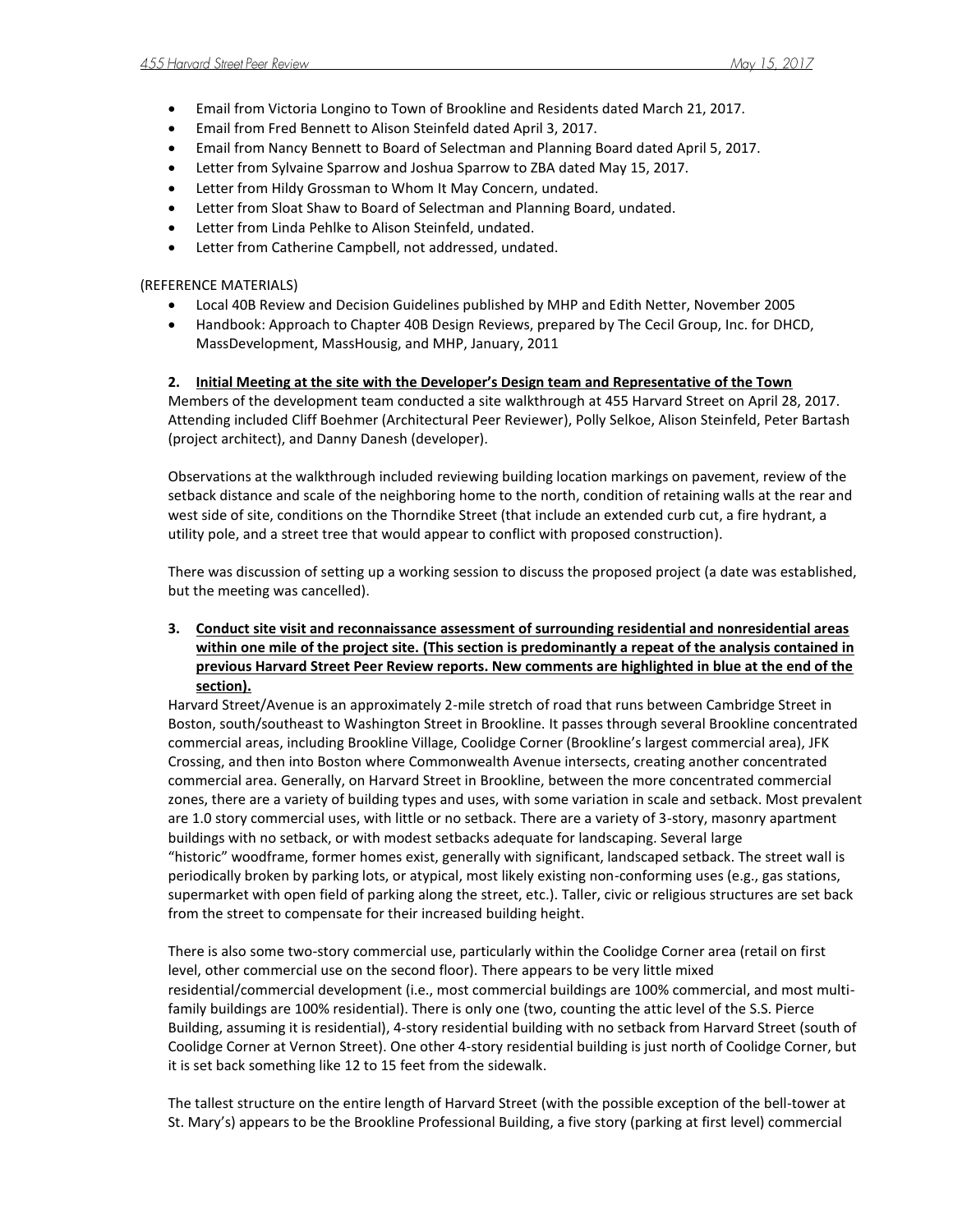- Email from Victoria Longino to Town of Brookline and Residents dated March 21, 2017.
- Email from Fred Bennett to Alison Steinfeld dated April 3, 2017.
- Email from Nancy Bennett to Board of Selectman and Planning Board dated April 5, 2017.
- Letter from Sylvaine Sparrow and Joshua Sparrow to ZBA dated May 15, 2017.
- Letter from Hildy Grossman to Whom It May Concern, undated.
- Letter from Sloat Shaw to Board of Selectman and Planning Board, undated.
- Letter from Linda Pehlke to Alison Steinfeld, undated.
- Letter from Catherine Campbell, not addressed, undated.

#### (REFERENCE MATERIALS)

- Local 40B Review and Decision Guidelines published by MHP and Edith Netter, November 2005
- Handbook: Approach to Chapter 40B Design Reviews, prepared by The Cecil Group, Inc. for DHCD, MassDevelopment, MassHousig, and MHP, January, 2011

### **2. Initial Meeting at the site with the Developer's Design team and Representative of the Town**

Members of the development team conducted a site walkthrough at 455 Harvard Street on April 28, 2017. Attending included Cliff Boehmer (Architectural Peer Reviewer), Polly Selkoe, Alison Steinfeld, Peter Bartash (project architect), and Danny Danesh (developer).

Observations at the walkthrough included reviewing building location markings on pavement, review of the setback distance and scale of the neighboring home to the north, condition of retaining walls at the rear and west side of site, conditions on the Thorndike Street (that include an extended curb cut, a fire hydrant, a utility pole, and a street tree that would appear to conflict with proposed construction).

There was discussion of setting up a working session to discuss the proposed project (a date was established, but the meeting was cancelled).

# **3. Conduct site visit and reconnaissance assessment of surrounding residential and nonresidential areas within one mile of the project site. (This section is predominantly a repeat of the analysis contained in previous Harvard Street Peer Review reports. New comments are highlighted in blue at the end of the section).**

Harvard Street/Avenue is an approximately 2-mile stretch of road that runs between Cambridge Street in Boston, south/southeast to Washington Street in Brookline. It passes through several Brookline concentrated commercial areas, including Brookline Village, Coolidge Corner (Brookline's largest commercial area), JFK Crossing, and then into Boston where Commonwealth Avenue intersects, creating another concentrated commercial area. Generally, on Harvard Street in Brookline, between the more concentrated commercial zones, there are a variety of building types and uses, with some variation in scale and setback. Most prevalent are 1.0 story commercial uses, with little or no setback. There are a variety of 3-story, masonry apartment buildings with no setback, or with modest setbacks adequate for landscaping. Several large "historic" woodframe, former homes exist, generally with significant, landscaped setback. The street wall is periodically broken by parking lots, or atypical, most likely existing non-conforming uses (e.g., gas stations, supermarket with open field of parking along the street, etc.). Taller, civic or religious structures are set back from the street to compensate for their increased building height.

There is also some two-story commercial use, particularly within the Coolidge Corner area (retail on first level, other commercial use on the second floor). There appears to be very little mixed residential/commercial development (i.e., most commercial buildings are 100% commercial, and most multifamily buildings are 100% residential). There is only one (two, counting the attic level of the S.S. Pierce Building, assuming it is residential), 4-story residential building with no setback from Harvard Street (south of Coolidge Corner at Vernon Street). One other 4-story residential building is just north of Coolidge Corner, but it is set back something like 12 to 15 feet from the sidewalk.

The tallest structure on the entire length of Harvard Street (with the possible exception of the bell-tower at St. Mary's) appears to be the Brookline Professional Building, a five story (parking at first level) commercial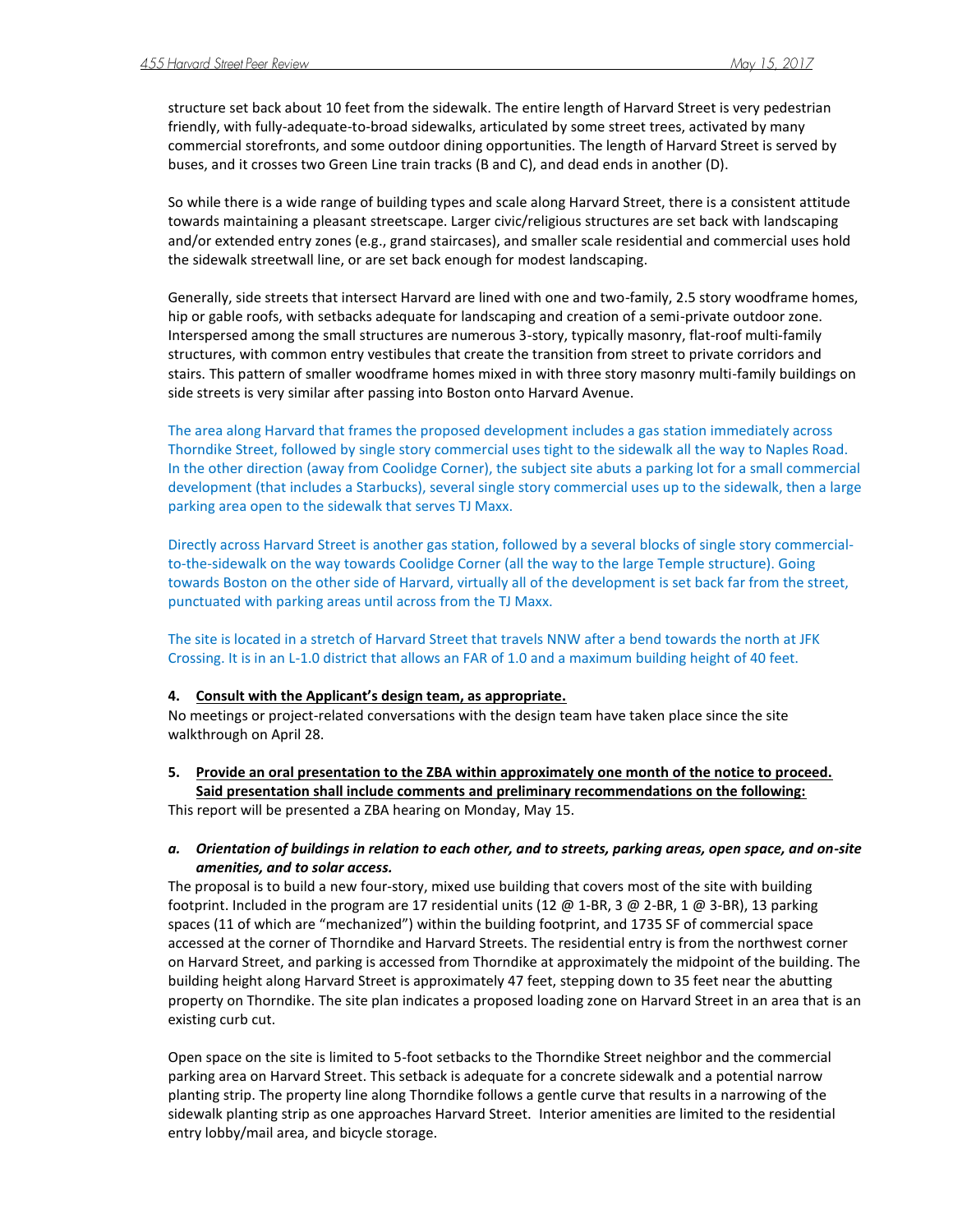structure set back about 10 feet from the sidewalk. The entire length of Harvard Street is very pedestrian friendly, with fully-adequate-to-broad sidewalks, articulated by some street trees, activated by many commercial storefronts, and some outdoor dining opportunities. The length of Harvard Street is served by buses, and it crosses two Green Line train tracks (B and C), and dead ends in another (D).

So while there is a wide range of building types and scale along Harvard Street, there is a consistent attitude towards maintaining a pleasant streetscape. Larger civic/religious structures are set back with landscaping and/or extended entry zones (e.g., grand staircases), and smaller scale residential and commercial uses hold the sidewalk streetwall line, or are set back enough for modest landscaping.

Generally, side streets that intersect Harvard are lined with one and two-family, 2.5 story woodframe homes, hip or gable roofs, with setbacks adequate for landscaping and creation of a semi-private outdoor zone. Interspersed among the small structures are numerous 3-story, typically masonry, flat-roof multi-family structures, with common entry vestibules that create the transition from street to private corridors and stairs. This pattern of smaller woodframe homes mixed in with three story masonry multi-family buildings on side streets is very similar after passing into Boston onto Harvard Avenue.

The area along Harvard that frames the proposed development includes a gas station immediately across Thorndike Street, followed by single story commercial uses tight to the sidewalk all the way to Naples Road. In the other direction (away from Coolidge Corner), the subject site abuts a parking lot for a small commercial development (that includes a Starbucks), several single story commercial uses up to the sidewalk, then a large parking area open to the sidewalk that serves TJ Maxx.

Directly across Harvard Street is another gas station, followed by a several blocks of single story commercialto-the-sidewalk on the way towards Coolidge Corner (all the way to the large Temple structure). Going towards Boston on the other side of Harvard, virtually all of the development is set back far from the street, punctuated with parking areas until across from the TJ Maxx.

The site is located in a stretch of Harvard Street that travels NNW after a bend towards the north at JFK Crossing. It is in an L-1.0 district that allows an FAR of 1.0 and a maximum building height of 40 feet.

#### **4. Consult with the Applicant's design team, as appropriate.**

No meetings or project-related conversations with the design team have taken place since the site walkthrough on April 28.

**5. Provide an oral presentation to the ZBA within approximately one month of the notice to proceed. Said presentation shall include comments and preliminary recommendations on the following:** This report will be presented a ZBA hearing on Monday, May 15.

## *a. Orientation of buildings in relation to each other, and to streets, parking areas, open space, and on-site amenities, and to solar access.*

The proposal is to build a new four-story, mixed use building that covers most of the site with building footprint. Included in the program are 17 residential units (12  $\omega$  1-BR, 3  $\omega$  2-BR, 1  $\omega$  3-BR), 13 parking spaces (11 of which are "mechanized") within the building footprint, and 1735 SF of commercial space accessed at the corner of Thorndike and Harvard Streets. The residential entry is from the northwest corner on Harvard Street, and parking is accessed from Thorndike at approximately the midpoint of the building. The building height along Harvard Street is approximately 47 feet, stepping down to 35 feet near the abutting property on Thorndike. The site plan indicates a proposed loading zone on Harvard Street in an area that is an existing curb cut.

Open space on the site is limited to 5-foot setbacks to the Thorndike Street neighbor and the commercial parking area on Harvard Street. This setback is adequate for a concrete sidewalk and a potential narrow planting strip. The property line along Thorndike follows a gentle curve that results in a narrowing of the sidewalk planting strip as one approaches Harvard Street. Interior amenities are limited to the residential entry lobby/mail area, and bicycle storage.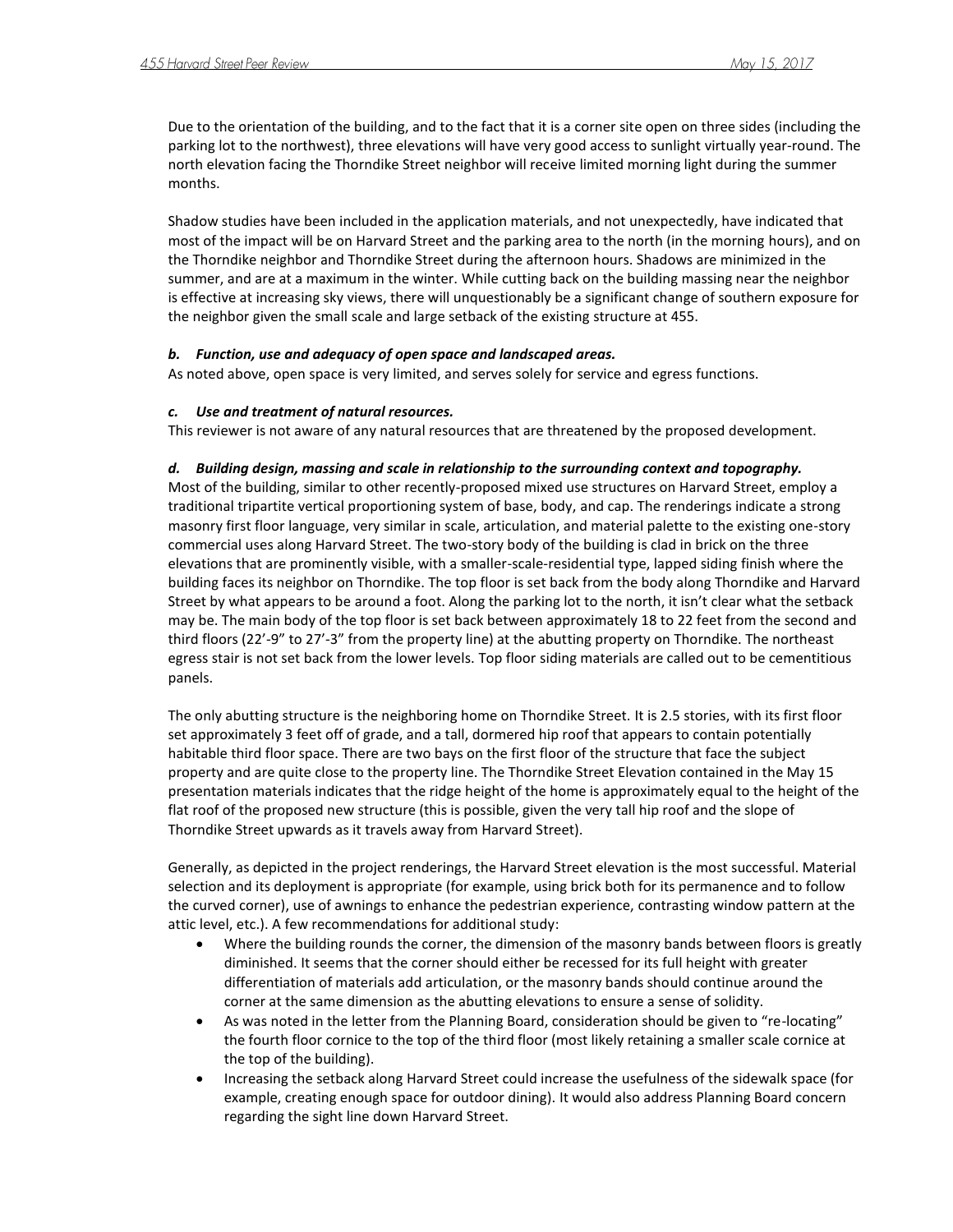Due to the orientation of the building, and to the fact that it is a corner site open on three sides (including the parking lot to the northwest), three elevations will have very good access to sunlight virtually year-round. The north elevation facing the Thorndike Street neighbor will receive limited morning light during the summer months.

Shadow studies have been included in the application materials, and not unexpectedly, have indicated that most of the impact will be on Harvard Street and the parking area to the north (in the morning hours), and on the Thorndike neighbor and Thorndike Street during the afternoon hours. Shadows are minimized in the summer, and are at a maximum in the winter. While cutting back on the building massing near the neighbor is effective at increasing sky views, there will unquestionably be a significant change of southern exposure for the neighbor given the small scale and large setback of the existing structure at 455.

#### *b. Function, use and adequacy of open space and landscaped areas.*

As noted above, open space is very limited, and serves solely for service and egress functions.

#### *c. Use and treatment of natural resources.*

This reviewer is not aware of any natural resources that are threatened by the proposed development.

#### *d. Building design, massing and scale in relationship to the surrounding context and topography.*

Most of the building, similar to other recently-proposed mixed use structures on Harvard Street, employ a traditional tripartite vertical proportioning system of base, body, and cap. The renderings indicate a strong masonry first floor language, very similar in scale, articulation, and material palette to the existing one-story commercial uses along Harvard Street. The two-story body of the building is clad in brick on the three elevations that are prominently visible, with a smaller-scale-residential type, lapped siding finish where the building faces its neighbor on Thorndike. The top floor is set back from the body along Thorndike and Harvard Street by what appears to be around a foot. Along the parking lot to the north, it isn't clear what the setback may be. The main body of the top floor is set back between approximately 18 to 22 feet from the second and third floors (22'-9" to 27'-3" from the property line) at the abutting property on Thorndike. The northeast egress stair is not set back from the lower levels. Top floor siding materials are called out to be cementitious panels.

The only abutting structure is the neighboring home on Thorndike Street. It is 2.5 stories, with its first floor set approximately 3 feet off of grade, and a tall, dormered hip roof that appears to contain potentially habitable third floor space. There are two bays on the first floor of the structure that face the subject property and are quite close to the property line. The Thorndike Street Elevation contained in the May 15 presentation materials indicates that the ridge height of the home is approximately equal to the height of the flat roof of the proposed new structure (this is possible, given the very tall hip roof and the slope of Thorndike Street upwards as it travels away from Harvard Street).

Generally, as depicted in the project renderings, the Harvard Street elevation is the most successful. Material selection and its deployment is appropriate (for example, using brick both for its permanence and to follow the curved corner), use of awnings to enhance the pedestrian experience, contrasting window pattern at the attic level, etc.). A few recommendations for additional study:

- Where the building rounds the corner, the dimension of the masonry bands between floors is greatly diminished. It seems that the corner should either be recessed for its full height with greater differentiation of materials add articulation, or the masonry bands should continue around the corner at the same dimension as the abutting elevations to ensure a sense of solidity.
- As was noted in the letter from the Planning Board, consideration should be given to "re-locating" the fourth floor cornice to the top of the third floor (most likely retaining a smaller scale cornice at the top of the building).
- Increasing the setback along Harvard Street could increase the usefulness of the sidewalk space (for example, creating enough space for outdoor dining). It would also address Planning Board concern regarding the sight line down Harvard Street.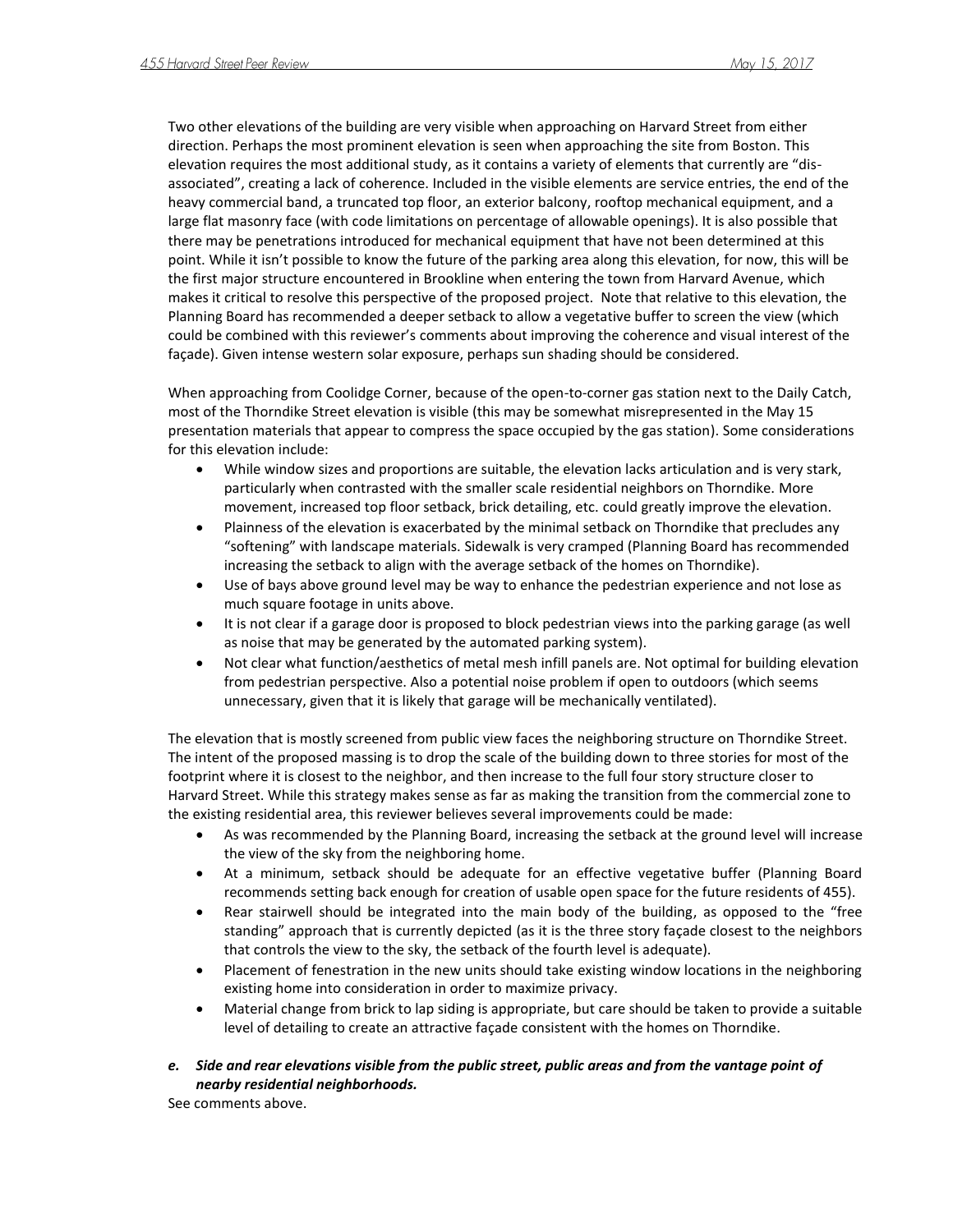Two other elevations of the building are very visible when approaching on Harvard Street from either direction. Perhaps the most prominent elevation is seen when approaching the site from Boston. This elevation requires the most additional study, as it contains a variety of elements that currently are "disassociated", creating a lack of coherence. Included in the visible elements are service entries, the end of the heavy commercial band, a truncated top floor, an exterior balcony, rooftop mechanical equipment, and a large flat masonry face (with code limitations on percentage of allowable openings). It is also possible that there may be penetrations introduced for mechanical equipment that have not been determined at this point. While it isn't possible to know the future of the parking area along this elevation, for now, this will be the first major structure encountered in Brookline when entering the town from Harvard Avenue, which makes it critical to resolve this perspective of the proposed project. Note that relative to this elevation, the Planning Board has recommended a deeper setback to allow a vegetative buffer to screen the view (which could be combined with this reviewer's comments about improving the coherence and visual interest of the façade). Given intense western solar exposure, perhaps sun shading should be considered.

When approaching from Coolidge Corner, because of the open-to-corner gas station next to the Daily Catch, most of the Thorndike Street elevation is visible (this may be somewhat misrepresented in the May 15 presentation materials that appear to compress the space occupied by the gas station). Some considerations for this elevation include:

- While window sizes and proportions are suitable, the elevation lacks articulation and is very stark, particularly when contrasted with the smaller scale residential neighbors on Thorndike. More movement, increased top floor setback, brick detailing, etc. could greatly improve the elevation.
- Plainness of the elevation is exacerbated by the minimal setback on Thorndike that precludes any "softening" with landscape materials. Sidewalk is very cramped (Planning Board has recommended increasing the setback to align with the average setback of the homes on Thorndike).
- Use of bays above ground level may be way to enhance the pedestrian experience and not lose as much square footage in units above.
- It is not clear if a garage door is proposed to block pedestrian views into the parking garage (as well as noise that may be generated by the automated parking system).
- Not clear what function/aesthetics of metal mesh infill panels are. Not optimal for building elevation from pedestrian perspective. Also a potential noise problem if open to outdoors (which seems unnecessary, given that it is likely that garage will be mechanically ventilated).

The elevation that is mostly screened from public view faces the neighboring structure on Thorndike Street. The intent of the proposed massing is to drop the scale of the building down to three stories for most of the footprint where it is closest to the neighbor, and then increase to the full four story structure closer to Harvard Street. While this strategy makes sense as far as making the transition from the commercial zone to the existing residential area, this reviewer believes several improvements could be made:

- As was recommended by the Planning Board, increasing the setback at the ground level will increase the view of the sky from the neighboring home.
- At a minimum, setback should be adequate for an effective vegetative buffer (Planning Board recommends setting back enough for creation of usable open space for the future residents of 455).
- Rear stairwell should be integrated into the main body of the building, as opposed to the "free standing" approach that is currently depicted (as it is the three story façade closest to the neighbors that controls the view to the sky, the setback of the fourth level is adequate).
- Placement of fenestration in the new units should take existing window locations in the neighboring existing home into consideration in order to maximize privacy.
- Material change from brick to lap siding is appropriate, but care should be taken to provide a suitable level of detailing to create an attractive façade consistent with the homes on Thorndike.

# *e. Side and rear elevations visible from the public street, public areas and from the vantage point of nearby residential neighborhoods.*

See comments above.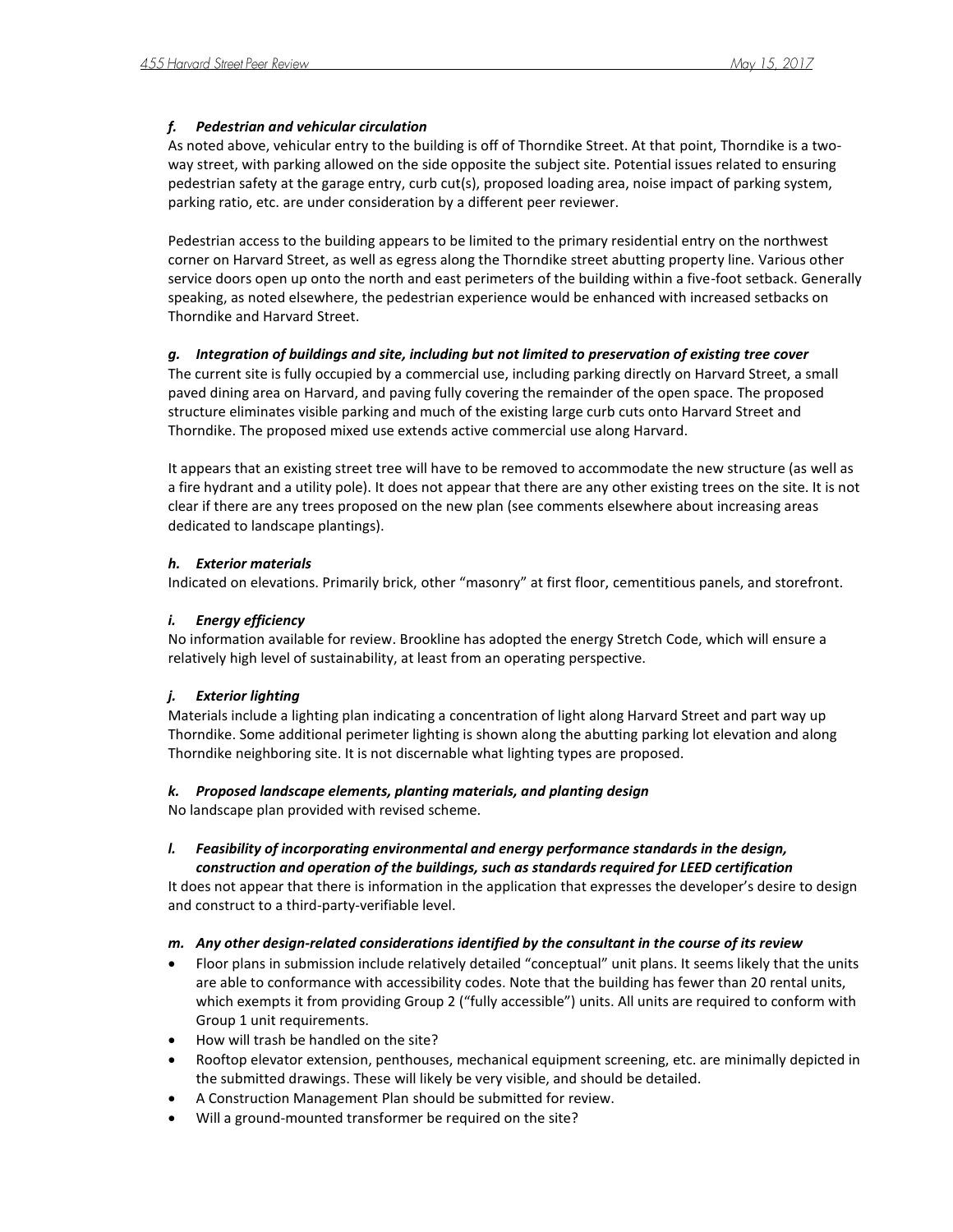# *f. Pedestrian and vehicular circulation*

As noted above, vehicular entry to the building is off of Thorndike Street. At that point, Thorndike is a twoway street, with parking allowed on the side opposite the subject site. Potential issues related to ensuring pedestrian safety at the garage entry, curb cut(s), proposed loading area, noise impact of parking system, parking ratio, etc. are under consideration by a different peer reviewer.

Pedestrian access to the building appears to be limited to the primary residential entry on the northwest corner on Harvard Street, as well as egress along the Thorndike street abutting property line. Various other service doors open up onto the north and east perimeters of the building within a five-foot setback. Generally speaking, as noted elsewhere, the pedestrian experience would be enhanced with increased setbacks on Thorndike and Harvard Street.

# *g. Integration of buildings and site, including but not limited to preservation of existing tree cover*

The current site is fully occupied by a commercial use, including parking directly on Harvard Street, a small paved dining area on Harvard, and paving fully covering the remainder of the open space. The proposed structure eliminates visible parking and much of the existing large curb cuts onto Harvard Street and Thorndike. The proposed mixed use extends active commercial use along Harvard.

It appears that an existing street tree will have to be removed to accommodate the new structure (as well as a fire hydrant and a utility pole). It does not appear that there are any other existing trees on the site. It is not clear if there are any trees proposed on the new plan (see comments elsewhere about increasing areas dedicated to landscape plantings).

# *h. Exterior materials*

Indicated on elevations. Primarily brick, other "masonry" at first floor, cementitious panels, and storefront.

## *i. Energy efficiency*

No information available for review. Brookline has adopted the energy Stretch Code, which will ensure a relatively high level of sustainability, at least from an operating perspective.

## *j. Exterior lighting*

Materials include a lighting plan indicating a concentration of light along Harvard Street and part way up Thorndike. Some additional perimeter lighting is shown along the abutting parking lot elevation and along Thorndike neighboring site. It is not discernable what lighting types are proposed.

## *k. Proposed landscape elements, planting materials, and planting design*

No landscape plan provided with revised scheme.

# *l. Feasibility of incorporating environmental and energy performance standards in the design,*

*construction and operation of the buildings, such as standards required for LEED certification* It does not appear that there is information in the application that expresses the developer's desire to design and construct to a third-party-verifiable level.

## *m. Any other design-related considerations identified by the consultant in the course of its review*

- Floor plans in submission include relatively detailed "conceptual" unit plans. It seems likely that the units are able to conformance with accessibility codes. Note that the building has fewer than 20 rental units, which exempts it from providing Group 2 ("fully accessible") units. All units are required to conform with Group 1 unit requirements.
- How will trash be handled on the site?
- Rooftop elevator extension, penthouses, mechanical equipment screening, etc. are minimally depicted in the submitted drawings. These will likely be very visible, and should be detailed.
- A Construction Management Plan should be submitted for review.
- Will a ground-mounted transformer be required on the site?